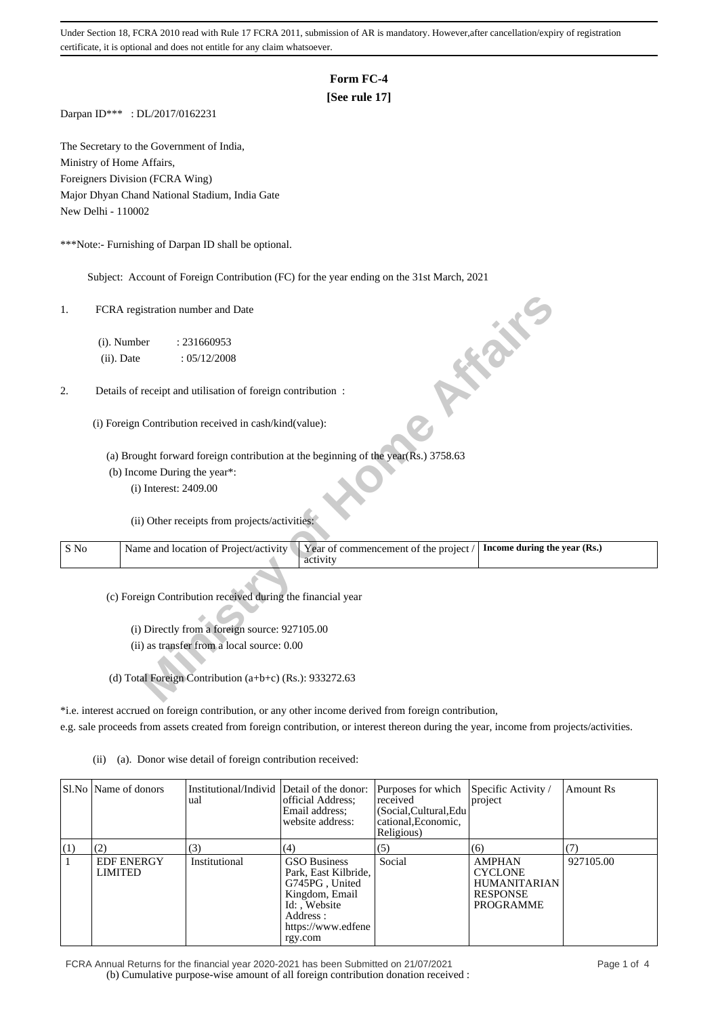## **Form FC-4**

# **[See rule 17]**

Darpan ID\*\*\* : DL/2017/0162231

The Secretary to the Government of India, Ministry of Home Affairs, Foreigners Division (FCRA Wing) Major Dhyan Chand National Stadium, India Gate New Delhi - 110002

\*\*\*Note:- Furnishing of Darpan ID shall be optional.

Subject: Account of Foreign Contribution (FC) for the year ending on the 31st March, 2021

## 2. Details of receipt and utilisation of foreign contribution :

| 1.   | FCRA registration number and Date                                                                                          |
|------|----------------------------------------------------------------------------------------------------------------------------|
|      | (i). Number<br>: 231660953                                                                                                 |
|      | <b>10 % %</b><br>(ii). Date<br>: 05/12/2008                                                                                |
| 2.   | Details of receipt and utilisation of foreign contribution :                                                               |
|      | (i) Foreign Contribution received in cash/kind(value):                                                                     |
|      | (a) Brought forward foreign contribution at the beginning of the year(Rs.) 3758.63                                         |
|      | (b) Income During the year*:                                                                                               |
|      | (i) Interest: 2409.00                                                                                                      |
|      | (ii) Other receipts from projects/activities:                                                                              |
| S No | Name and location of Project/activity<br>Year of commencement of the project /<br>Income during the year (Rs.)<br>activity |
|      | (c) Foreign Contribution received during the financial year                                                                |
|      | (i) Directly from a foreign source: 927105.00                                                                              |
|      | (ii) as transfer from a local source: 0.00                                                                                 |
|      |                                                                                                                            |
|      | (d) Total Foreign Contribution (a+b+c) (Rs.): 933272.63                                                                    |

\*i.e. interest accrued on foreign contribution, or any other income derived from foreign contribution,

e.g. sale proceeds from assets created from foreign contribution, or interest thereon during the year, income from projects/activities.

(ii) (a). Donor wise detail of foreign contribution received:

|     | SLNo Name of donors                 | Institutional/Individ Detail of the donor:<br>ual | official Address:<br>Email address;<br>website address:                                                                                      | Purposes for which<br>received<br>(Social, Cultural, Edu<br>cational, Economic,<br>Religious) | Specific Activity /<br>project                                                                | <b>Amount Rs</b> |
|-----|-------------------------------------|---------------------------------------------------|----------------------------------------------------------------------------------------------------------------------------------------------|-----------------------------------------------------------------------------------------------|-----------------------------------------------------------------------------------------------|------------------|
| (1) | (2)                                 | (3)                                               | (4)                                                                                                                                          | (5)                                                                                           | (6)                                                                                           | (7)              |
|     | <b>EDF ENERGY</b><br><b>LIMITED</b> | Institutional                                     | <b>GSO</b> Business<br>Park, East Kilbride,<br>G745PG, United<br>Kingdom, Email<br>Id: Website<br>Address :<br>https://www.edfene<br>rgy.com | Social                                                                                        | <b>AMPHAN</b><br><b>CYCLONE</b><br><b>HUMANITARIAN</b><br><b>RESPONSE</b><br><b>PROGRAMME</b> | 927105.00        |

 (b) Cumulative purpose-wise amount of all foreign contribution donation received : FCRA Annual Returns for the financial year 2020-2021 has been Submitted on 21/07/2021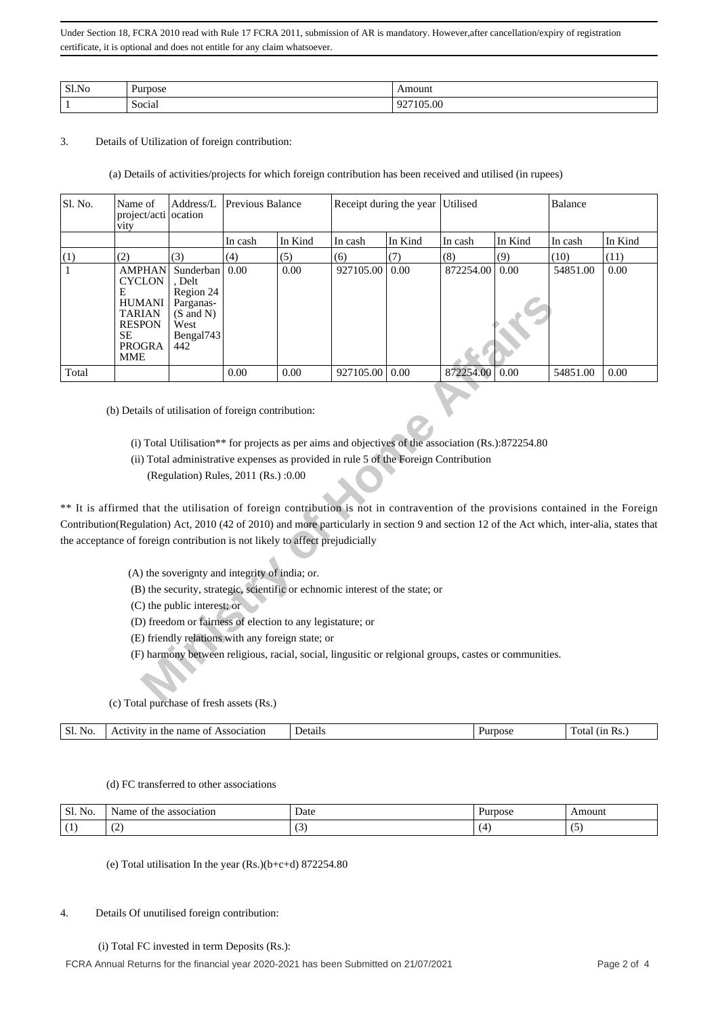| Sl.No |        |                      |
|-------|--------|----------------------|
|       | Social | $\Omega$<br>.vu<br>. |

## 3. Details of Utilization of foreign contribution:

(a) Details of activities/projects for which foreign contribution has been received and utilised (in rupees)

| Sl. No. | Name of<br>project/acti<br>vity                                                                                                                                                                                                                                                  | Address/L<br>ocation                                                                              | Previous Balance |                                                            |                                                                                                                                                                                            | Receipt during the year | Utilised  |         | Balance  |         |
|---------|----------------------------------------------------------------------------------------------------------------------------------------------------------------------------------------------------------------------------------------------------------------------------------|---------------------------------------------------------------------------------------------------|------------------|------------------------------------------------------------|--------------------------------------------------------------------------------------------------------------------------------------------------------------------------------------------|-------------------------|-----------|---------|----------|---------|
|         |                                                                                                                                                                                                                                                                                  |                                                                                                   | In cash          | In Kind                                                    | In cash                                                                                                                                                                                    | In Kind                 | In cash   | In Kind | In cash  | In Kind |
| (1)     | (2)                                                                                                                                                                                                                                                                              | (3)                                                                                               | (4)              | (5)                                                        | (6)                                                                                                                                                                                        | (7)                     | (8)       | (9)     | (10)     | (11)    |
| 1       | <b>AMPHAN</b><br><b>CYCLON</b><br>E<br><b>HUMANI</b><br><b>TARIAN</b><br><b>RESPON</b><br><b>SE</b><br><b>PROGRA</b><br><b>MME</b>                                                                                                                                               | Sunderban<br>. Delt<br>Region 24<br>Parganas-<br>$(S \text{ and } N)$<br>West<br>Bengal743<br>442 | 0.00             | 0.00                                                       | 927105.00                                                                                                                                                                                  | 0.00                    | 872254.00 | 0.00    | 54851.00 | 0.00    |
| Total   |                                                                                                                                                                                                                                                                                  |                                                                                                   | 0.00             | 0.00                                                       | 927105.00                                                                                                                                                                                  | 0.00                    | 872254.00 | 0.00    | 54851.00 | 0.00    |
|         | ** It is affirmed that the utilisation of foreign contribution is not in contravention of the provisions contained in the Foreign<br>Contribution(Regulation) Act, 2010 (42 of 2010) and more particularly in section 9 and section 12 of the Act which, inter-alia, states that | (Regulation) Rules, 2011 (Rs.) :0.00                                                              |                  |                                                            | (i) Total Utilisation** for projects as per aims and objectives of the association (Rs.):872254.80<br>(ii) Total administrative expenses as provided in rule 5 of the Foreign Contribution |                         |           |         |          |         |
|         |                                                                                                                                                                                                                                                                                  |                                                                                                   |                  |                                                            |                                                                                                                                                                                            |                         |           |         |          |         |
|         | the acceptance of foreign contribution is not likely to affect prejudicially                                                                                                                                                                                                     | (A) the soverignty and integrity of india; or.                                                    |                  |                                                            |                                                                                                                                                                                            |                         |           |         |          |         |
|         |                                                                                                                                                                                                                                                                                  | (C) the public interest; or                                                                       |                  |                                                            | (B) the security, strategic, scientific or echnomic interest of the state; or                                                                                                              |                         |           |         |          |         |
|         |                                                                                                                                                                                                                                                                                  |                                                                                                   |                  | (D) freedom or fairness of election to any legistature; or |                                                                                                                                                                                            |                         |           |         |          |         |
|         |                                                                                                                                                                                                                                                                                  |                                                                                                   |                  | (E) friendly relations with any foreign state; or          |                                                                                                                                                                                            |                         |           |         |          |         |
|         |                                                                                                                                                                                                                                                                                  |                                                                                                   |                  |                                                            | (F) harmony between religious, racial, social, lingusitic or relgional groups, castes or communities.                                                                                      |                         |           |         |          |         |
|         |                                                                                                                                                                                                                                                                                  |                                                                                                   | $$ 1. $$ (D $$ ) |                                                            |                                                                                                                                                                                            |                         |           |         |          |         |

## (c) Total purchase of fresh assets (Rs.)

| -SI.<br>No. | Association<br>name<br>- OT<br>the | $\cdot$ Deta $\iota$ | $n \Omega$<br>. | (n)<br>۰ĸs.<br>ota |
|-------------|------------------------------------|----------------------|-----------------|--------------------|
|-------------|------------------------------------|----------------------|-----------------|--------------------|

### (d) FC transferred to other associations

| C1<br>- -<br>N <sub>O</sub> .<br>، 10 | Inmc<br>3SSOC1at101<br>'ne<br>ld.<br>.   | Date<br>. | .<br>pose | Amount<br>$\cdots$            |
|---------------------------------------|------------------------------------------|-----------|-----------|-------------------------------|
|                                       | $\overline{\phantom{a}}$<br>. <u>. .</u> |           |           | $\overline{\phantom{0}}$<br>ີ |

(e) Total utilisation In the year (Rs.)(b+c+d) 872254.80

### 4. Details Of unutilised foreign contribution:

### (i) Total FC invested in term Deposits (Rs.):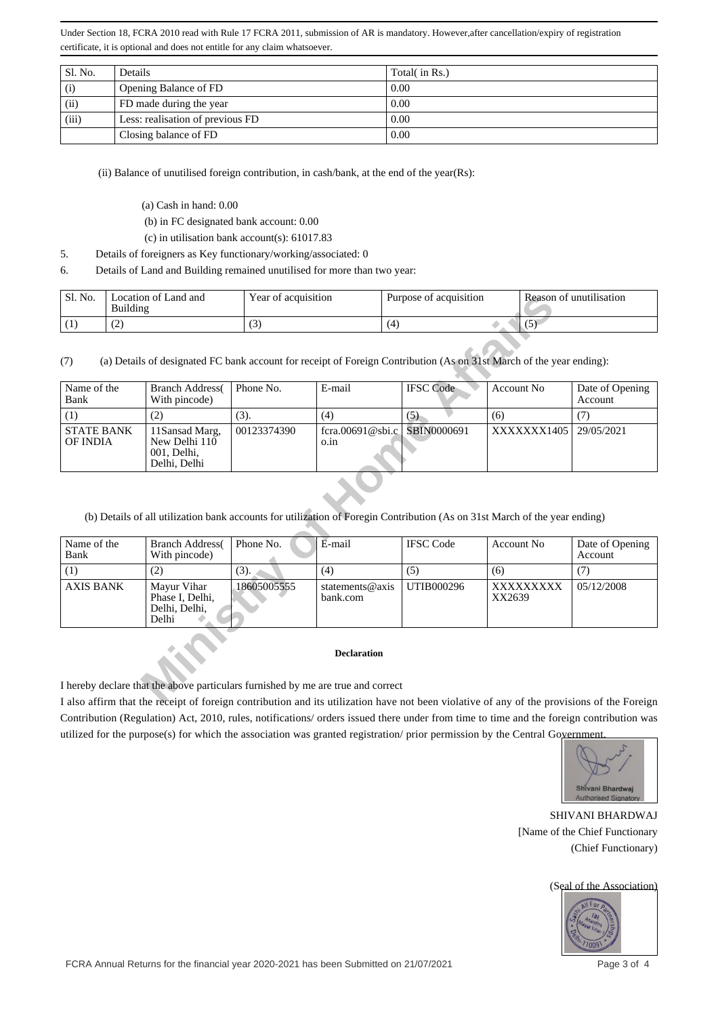| Sl. No. | <b>Details</b>                   | Total( in Rs.) |
|---------|----------------------------------|----------------|
| (i)     | Opening Balance of FD            | 0.00           |
| (ii)    | FD made during the year          | 0.00           |
| (iii)   | Less: realisation of previous FD | 0.00           |
|         | Closing balance of FD            | 0.00           |

(ii) Balance of unutilised foreign contribution, in cash/bank, at the end of the year(Rs):

- (a) Cash in hand: 0.00
- (b) in FC designated bank account: 0.00
- (c) in utilisation bank account(s): 61017.83
- 5. Details of foreigners as Key functionary/working/associated: 0
- 6. Details of Land and Building remained unutilised for more than two year:

| Sl. No. | Location of Land and<br>Building | Year of acquisition | Purpose of acquisition | Reason of unutilisation |
|---------|----------------------------------|---------------------|------------------------|-------------------------|
|         | . <u>. .</u>                     | ູ                   |                        | $\sim$ $\sim$           |

| Sl. No.                       | Location of Land and<br><b>Building</b> |                                                                                  |             | Year of acquisition<br>Purpose of acquisition |                                                                                                                                                |                     | Reason of unutilisation    |  |
|-------------------------------|-----------------------------------------|----------------------------------------------------------------------------------|-------------|-----------------------------------------------|------------------------------------------------------------------------------------------------------------------------------------------------|---------------------|----------------------------|--|
| (1)                           | (2)                                     |                                                                                  | (3)         |                                               | (4)                                                                                                                                            | (5)                 |                            |  |
| (7)                           |                                         |                                                                                  |             |                                               | (a) Details of designated FC bank account for receipt of Foreign Contribution (As on 31st March of the year ending):                           |                     |                            |  |
| Name of the<br>Bank           |                                         | <b>Branch Address</b><br>With pincode)                                           | Phone No.   | E-mail                                        | <b>IFSC</b> Code                                                                                                                               | <b>Account No</b>   | Date of Opening<br>Account |  |
| (1)                           |                                         | (2)                                                                              | (3).        | (4)                                           | (5)                                                                                                                                            | (6)                 | (7)                        |  |
| <b>STATE BANK</b><br>OF INDIA |                                         | 11Sansad Marg,<br>New Delhi 110<br>001, Delhi,<br>Delhi, Delhi                   | 00123374390 | $f_{\rm cra.00691}$ @sbi.c<br>o.in            | SBIN0000691                                                                                                                                    | XXXXXXX1405         | 29/05/2021                 |  |
| Name of the<br>Bank           |                                         | <b>Branch Address</b><br>With pincode)                                           | Phone No.   | E-mail                                        | (b) Details of all utilization bank accounts for utilization of Foregin Contribution (As on 31st March of the year ending)<br><b>IFSC Code</b> | <b>Account No</b>   | Date of Opening<br>Account |  |
| (1)                           |                                         | (2)                                                                              | $(3)$ .     | (4)                                           | (5)                                                                                                                                            | (6)                 | (7)                        |  |
| <b>AXIS BANK</b>              |                                         | Mayur Vihar<br>Phase I, Delhi,<br>Delhi, Delhi,<br>Delhi                         | 18605005555 | statements@axis<br>bank.com                   | UTIB000296                                                                                                                                     | XXXXXXXXX<br>XX2639 | 05/12/2008                 |  |
|                               |                                         |                                                                                  |             | <b>Declaration</b>                            |                                                                                                                                                |                     |                            |  |
|                               |                                         | I hereby declare that the above particulars furnished by me are true and correct |             |                                               |                                                                                                                                                |                     |                            |  |
|                               |                                         |                                                                                  |             |                                               | I also affirm that the receipt of foreign contribution and its utilization have not been violative of any of the provisions of the Foreign     |                     |                            |  |

| Name of the<br>Bank | <b>Branch Address</b><br>With pincode)                   | Phone No.   | E-mail                          | <b>IFSC</b> Code | Account No          | Date of Opening<br><b>Account</b> |
|---------------------|----------------------------------------------------------|-------------|---------------------------------|------------------|---------------------|-----------------------------------|
|                     | (2)                                                      | (3).        | (4)                             | (5)              | (6)                 |                                   |
| <b>AXIS BANK</b>    | Mayur Vihar<br>Phase I. Delhi.<br>Delhi, Delhi,<br>Delhi | 18605005555 | statements $@$ axis<br>bank.com | UTIB000296       | XXXXXXXXX<br>XX2639 | 05/12/2008                        |

### **Declaration**

I also affirm that the receipt of foreign contribution and its utilization have not been violative of any of the provisions of the Foreign Contribution (Regulation) Act, 2010, rules, notifications/ orders issued there under from time to time and the foreign contribution was utilized for the purpose(s) for which the association was granted registration/ prior permission by the Central Governme



SHIVANI BHARDWAJ [Name of the Chief Functionary (Chief Functionary)